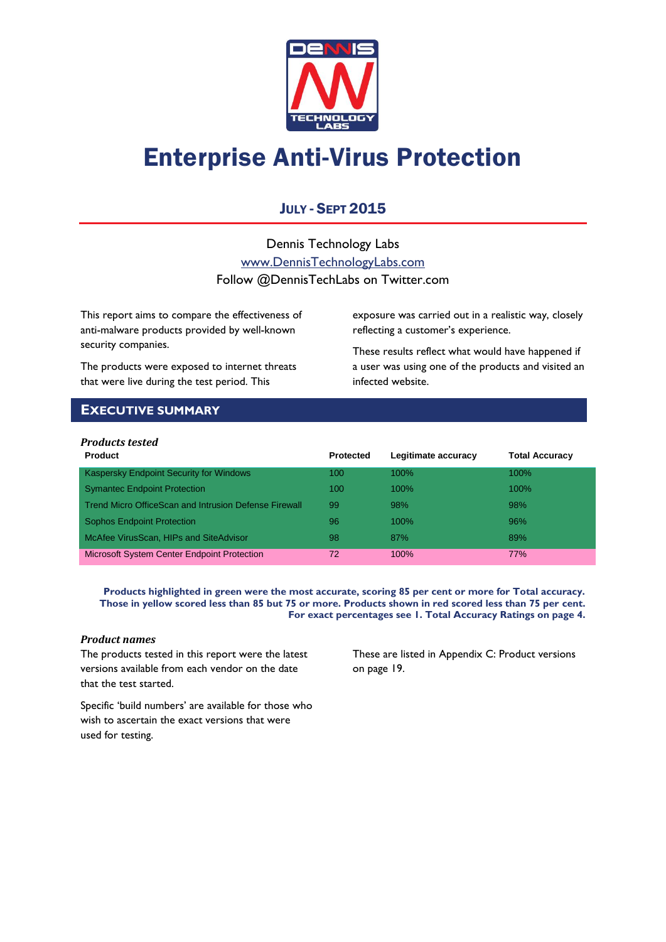

# Enterprise Anti-Virus Protection

# JULY - SEPT 2015

Dennis Technology Labs [www.DennisTechnologyLabs.com](http://www.dennistechnologylabs.com/) Follow @DennisTechLabs on Twitter.com

This report aims to compare the effectiveness of anti-malware products provided by well-known security companies.

The products were exposed to internet threats that were live during the test period. This

exposure was carried out in a realistic way, closely reflecting a customer's experience.

These results reflect what would have happened if a user was using one of the products and visited an infected website.

# <span id="page-0-0"></span>**EXECUTIVE SUMMARY**

# *Products tested*

| <b>Product</b>                                        | <b>Protected</b> | Legitimate accuracy | <b>Total Accuracy</b> |
|-------------------------------------------------------|------------------|---------------------|-----------------------|
| Kaspersky Endpoint Security for Windows               | 100              | $100\%$             | $100\%$               |
| <b>Symantec Endpoint Protection</b>                   | 100              | $100\%$             | $100\%$               |
| Trend Micro OfficeScan and Intrusion Defense Firewall | 99               | 98%                 | 98%                   |
| <b>Sophos Endpoint Protection</b>                     | 96               | 100%                | 96%                   |
| McAfee VirusScan, HIPs and SiteAdvisor                | 98               | 87%                 | 89%                   |
| <b>Microsoft System Center Endpoint Protection</b>    | 72               | $100\%$             | <b>77%</b>            |

**Products highlighted in green were the most accurate, scoring 85 per cent or more for Total accuracy. Those in yellow scored less than 85 but 75 or more. Products shown in red scored less than 75 per cent. For exact percentages see 1. Total Accuracy Ratings on page 4.**

## *Product names*

The products tested in this report were the latest versions available from each vendor on the date that the test started.

These are listed in [Appendix C: Product versions](#page-19-0) on page 19.

Specific 'build numbers' are available for those who wish to ascertain the exact versions that were used for testing.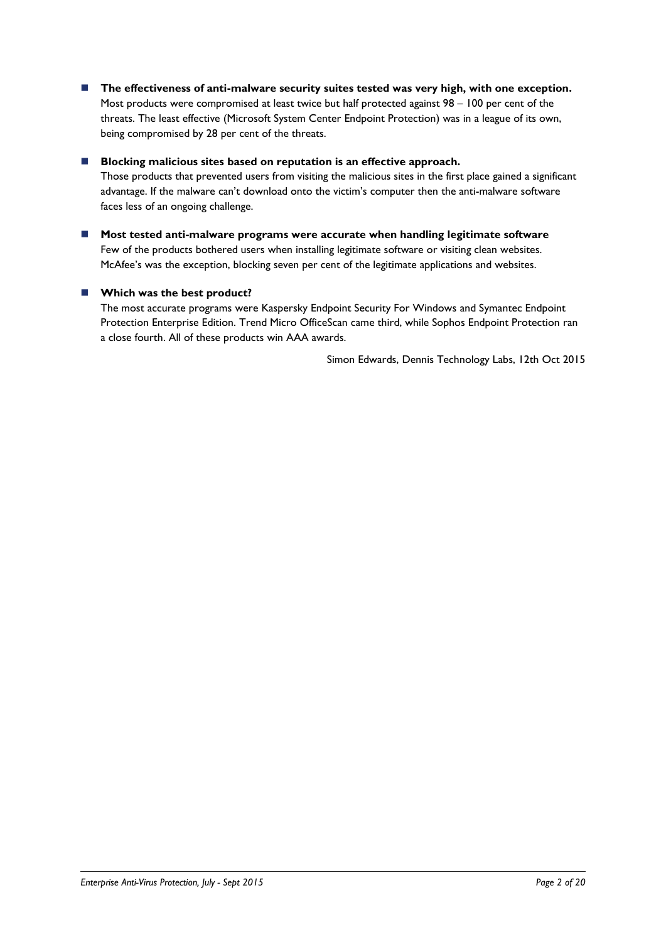■ The effectiveness of anti-malware security suites tested was very high, with one exception. Most products were compromised at least twice but half protected against 98 – 100 per cent of the threats. The least effective (Microsoft System Center Endpoint Protection) was in a league of its own, being compromised by 28 per cent of the threats.

# ■ Blocking malicious sites based on reputation is an effective approach.

Those products that prevented users from visiting the malicious sites in the first place gained a significant advantage. If the malware can't download onto the victim's computer then the anti-malware software faces less of an ongoing challenge.

 **Most tested anti-malware programs were accurate when handling legitimate software** Few of the products bothered users when installing legitimate software or visiting clean websites. McAfee's was the exception, blocking seven per cent of the legitimate applications and websites.

# **Which was the best product?**

The most accurate programs were Kaspersky Endpoint Security For Windows and Symantec Endpoint Protection Enterprise Edition. Trend Micro OfficeScan came third, while Sophos Endpoint Protection ran a close fourth. All of these products win AAA awards.

Simon Edwards, Dennis Technology Labs, 12th Oct 2015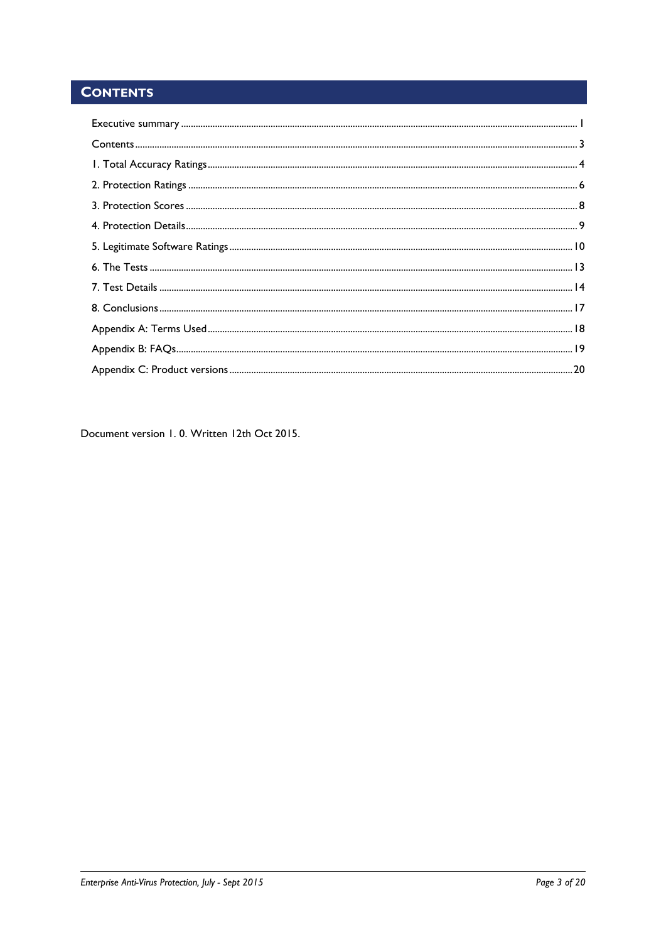# <span id="page-2-0"></span>**CONTENTS**

Document version 1.0. Written 12th Oct 2015.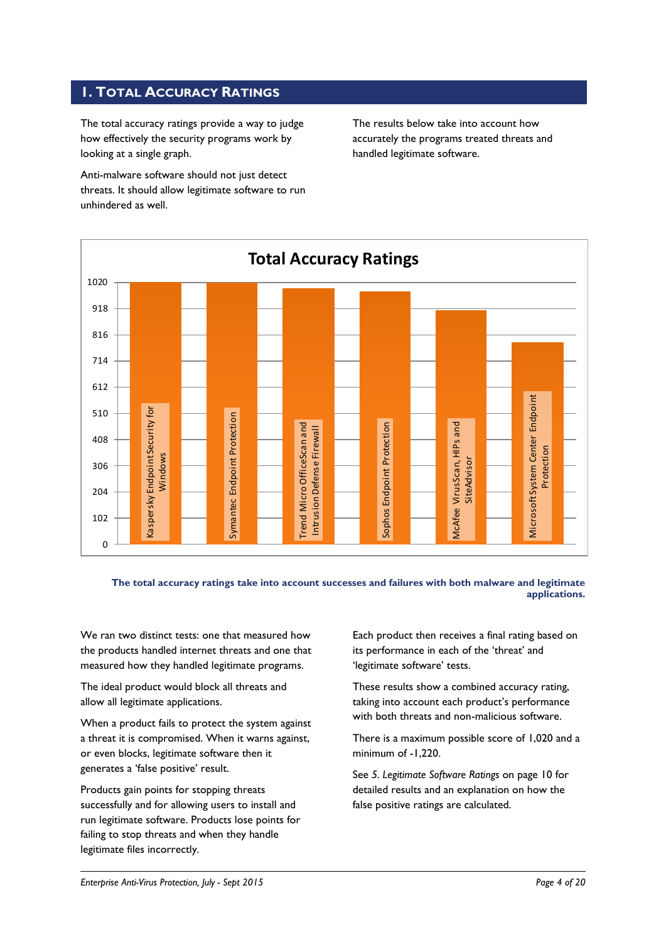# <span id="page-3-0"></span>**1. TOTAL ACCURACY RATINGS**

The total accuracy ratings provide a way to judge how effectively the security programs work by looking at a single graph.

Anti-malware software should not just detect threats. It should allow legitimate software to run unhindered as well.

The results below take into account how accurately the programs treated threats and handled legitimate software.



## **The total accuracy ratings take into account successes and failures with both malware and legitimate applications.**

We ran two distinct tests: one that measured how the products handled internet threats and one that measured how they handled legitimate programs.

The ideal product would block all threats and allow all legitimate applications.

When a product fails to protect the system against a threat it is compromised. When it warns against, or even blocks, legitimate software then it generates a 'false positive' result.

Products gain points for stopping threats successfully and for allowing users to install and run legitimate software. Products lose points for failing to stop threats and when they handle legitimate files incorrectly.

Each product then receives a final rating based on its performance in each of the 'threat' and 'legitimate software' tests.

These results show a combined accuracy rating, taking into account each product's performance with both threats and non-malicious software.

There is a maximum possible score of 1,020 and a minimum of -1,220.

See *5. Legitimate Software Ratings* on page 10 for detailed results and an explanation on how the false positive ratings are calculated.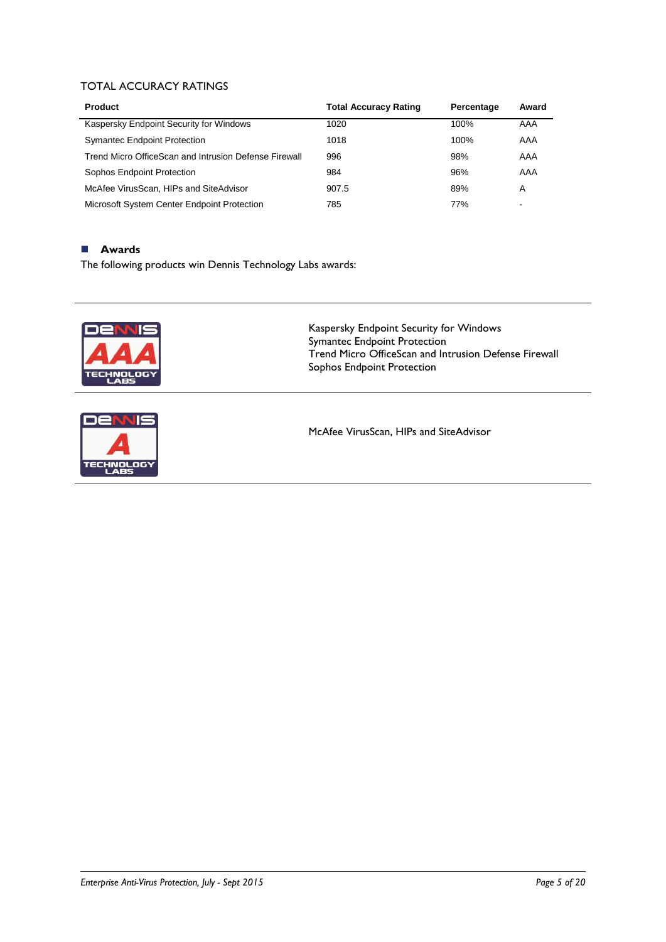# TOTAL ACCURACY RATINGS

| <b>Product</b>                                        | <b>Total Accuracy Rating</b> | Percentage | Award                    |
|-------------------------------------------------------|------------------------------|------------|--------------------------|
| Kaspersky Endpoint Security for Windows               | 1020                         | 100%       | AAA                      |
| <b>Symantec Endpoint Protection</b>                   | 1018                         | 100%       | AAA                      |
| Trend Micro OfficeScan and Intrusion Defense Firewall | 996                          | 98%        | AAA                      |
| Sophos Endpoint Protection                            | 984                          | 96%        | AAA                      |
| McAfee VirusScan, HIPs and SiteAdvisor                | 907.5                        | 89%        | A                        |
| Microsoft System Center Endpoint Protection           | 785                          | 77%        | $\overline{\phantom{0}}$ |

# **Awards**

The following products win Dennis Technology Labs awards:





Kaspersky Endpoint Security for Windows Symantec Endpoint Protection Trend Micro OfficeScan and Intrusion Defense Firewall Sophos Endpoint Protection

McAfee VirusScan, HIPs and SiteAdvisor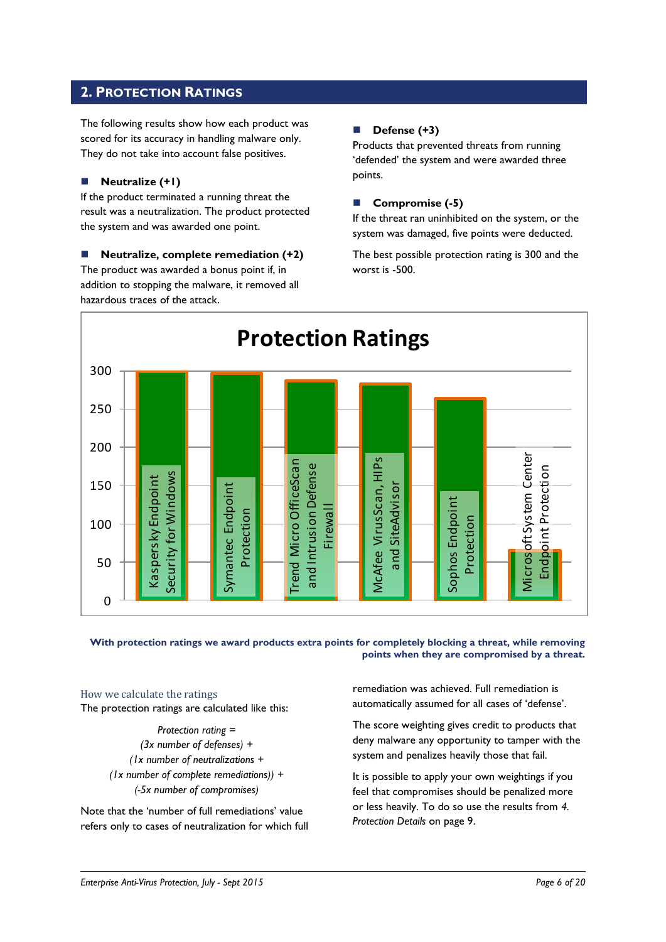# <span id="page-5-0"></span>**2. PROTECTION RATINGS**

The following results show how each product was scored for its accuracy in handling malware only. They do not take into account false positives.

# **Neutralize (+1)**

If the product terminated a running threat the result was a neutralization. The product protected the system and was awarded one point.

 **Neutralize, complete remediation (+2)** The product was awarded a bonus point if, in addition to stopping the malware, it removed all hazardous traces of the attack.

# **Defense (+3)**

Products that prevented threats from running 'defended' the system and were awarded three points.

# **Compromise (-5)**

If the threat ran uninhibited on the system, or the system was damaged, five points were deducted.

The best possible protection rating is 300 and the worst is -500.



**With protection ratings we award products extra points for completely blocking a threat, while removing points when they are compromised by a threat.**

# How we calculate the ratings

The protection ratings are calculated like this:

*Protection rating = (3x number of defenses) + (1x number of neutralizations + (1x number of complete remediations)) + (-5x number of compromises)*

Note that the 'number of full remediations' value refers only to cases of neutralization for which full remediation was achieved. Full remediation is automatically assumed for all cases of 'defense'.

The score weighting gives credit to products that deny malware any opportunity to tamper with the system and penalizes heavily those that fail.

It is possible to apply your own weightings if you feel that compromises should be penalized more or less heavily. To do so use the results from *4. Protection Details* on page 9.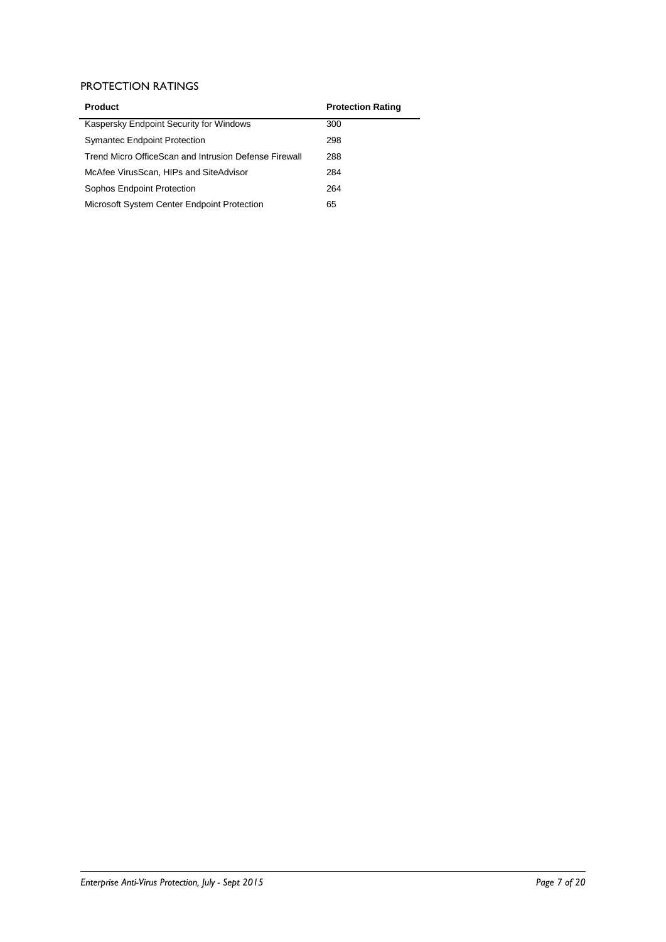# PROTECTION RATINGS

| <b>Product</b>                                        | <b>Protection Rating</b> |
|-------------------------------------------------------|--------------------------|
| Kaspersky Endpoint Security for Windows               | 300                      |
| <b>Symantec Endpoint Protection</b>                   | 298                      |
| Trend Micro OfficeScan and Intrusion Defense Firewall | 288                      |
| McAfee VirusScan, HIPs and SiteAdvisor                | 284                      |
| Sophos Endpoint Protection                            | 264                      |
| Microsoft System Center Endpoint Protection           | 65                       |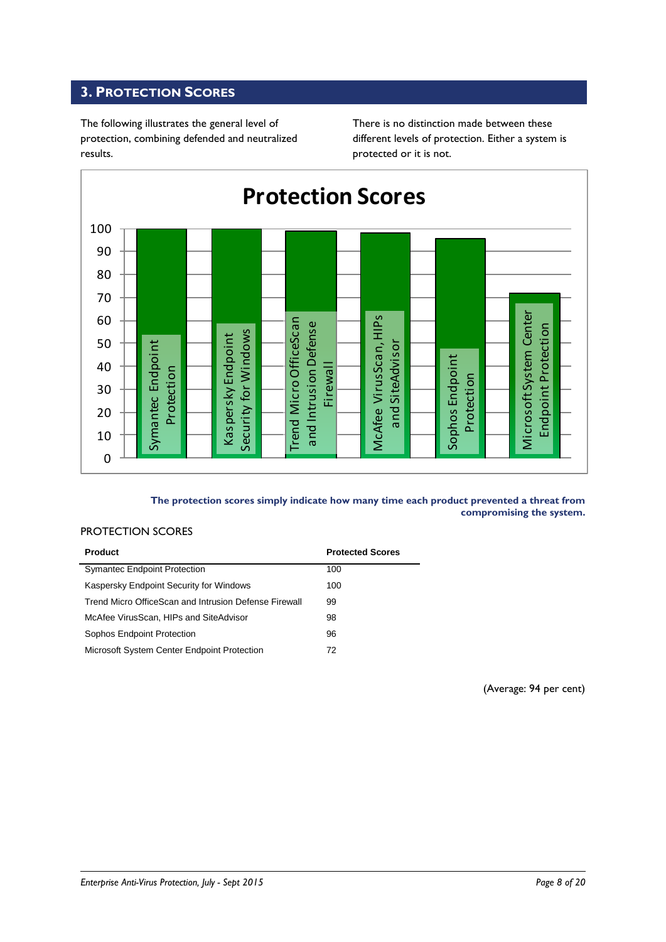# <span id="page-7-0"></span>**3. PROTECTION SCORES**

The following illustrates the general level of protection, combining defended and neutralized results.

There is no distinction made between these different levels of protection. Either a system is protected or it is not.



# **The protection scores simply indicate how many time each product prevented a threat from compromising the system.**

## PROTECTION SCORES

| <b>Product</b>                                        | <b>Protected Scores</b> |
|-------------------------------------------------------|-------------------------|
| <b>Symantec Endpoint Protection</b>                   | 100                     |
| Kaspersky Endpoint Security for Windows               | 100                     |
| Trend Micro OfficeScan and Intrusion Defense Firewall | 99                      |
| McAfee VirusScan, HIPs and SiteAdvisor                | 98                      |
| Sophos Endpoint Protection                            | 96                      |
| Microsoft System Center Endpoint Protection           | 72                      |

(Average: 94 per cent)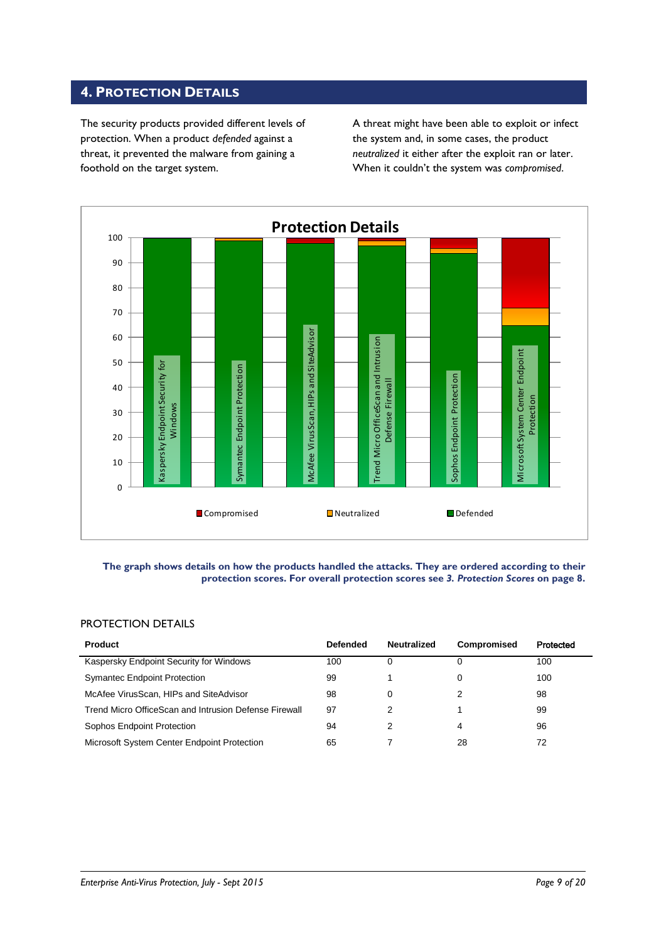# <span id="page-8-0"></span>**4. PROTECTION DETAILS**

The security products provided different levels of protection. When a product *defended* against a threat, it prevented the malware from gaining a foothold on the target system.

A threat might have been able to exploit or infect the system and, in some cases, the product *neutralized* it either after the exploit ran or later. When it couldn't the system was *compromised*.



#### **The graph shows details on how the products handled the attacks. They are ordered according to their protection scores. For overall protection scores see** *3. Protection Scores* **on page 8.**

# PROTECTION DETAILS

| <b>Product</b>                                        | <b>Defended</b> | <b>Neutralized</b> | Compromised | Protected |
|-------------------------------------------------------|-----------------|--------------------|-------------|-----------|
| Kaspersky Endpoint Security for Windows               | 100             |                    |             | 100       |
| <b>Symantec Endpoint Protection</b>                   | 99              |                    |             | 100       |
| McAfee VirusScan, HIPs and SiteAdvisor                | 98              |                    |             | 98        |
| Trend Micro OfficeScan and Intrusion Defense Firewall | 97              |                    |             | 99        |
| Sophos Endpoint Protection                            | 94              |                    | 4           | 96        |
| Microsoft System Center Endpoint Protection           | 65              |                    | 28          | 72        |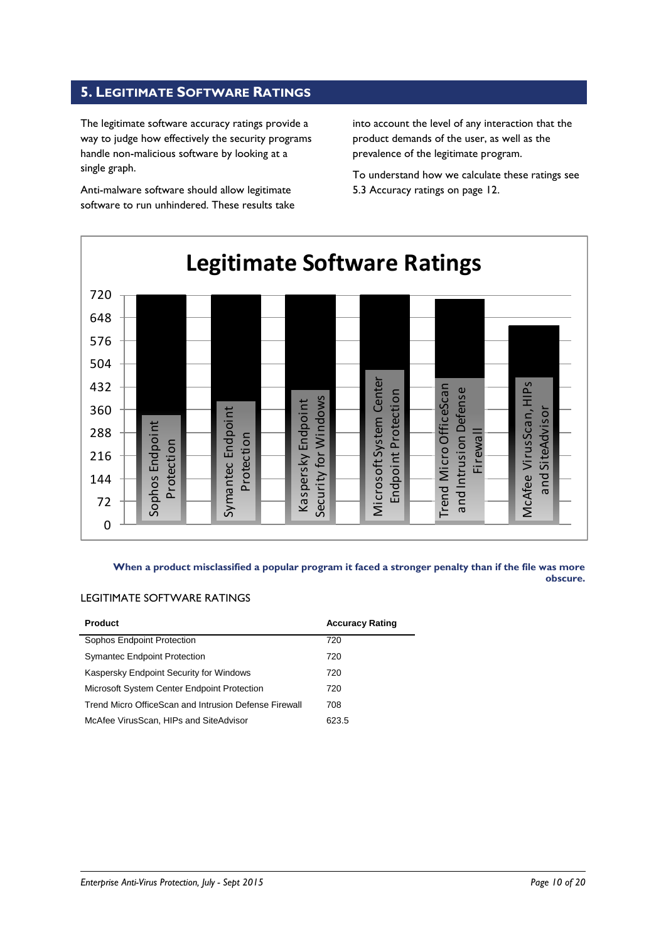# <span id="page-9-0"></span>**5. LEGITIMATE SOFTWARE RATINGS**

The legitimate software accuracy ratings provide a way to judge how effectively the security programs handle non-malicious software by looking at a single graph.

Anti-malware software should allow legitimate software to run unhindered. These results take into account the level of any interaction that the product demands of the user, as well as the prevalence of the legitimate program.

To understand how we calculate these ratings see 5.3 Accuracy ratings on page 12.



**When a product misclassified a popular program it faced a stronger penalty than if the file was more obscure.**

# LEGITIMATE SOFTWARE RATINGS

| <b>Product</b>                                        | <b>Accuracy Rating</b> |
|-------------------------------------------------------|------------------------|
| Sophos Endpoint Protection                            | 720                    |
| <b>Symantec Endpoint Protection</b>                   | 720                    |
| Kaspersky Endpoint Security for Windows               | 720                    |
| Microsoft System Center Endpoint Protection           | 720                    |
| Trend Micro OfficeScan and Intrusion Defense Firewall | 708                    |
| McAfee VirusScan, HIPs and SiteAdvisor                | 623.5                  |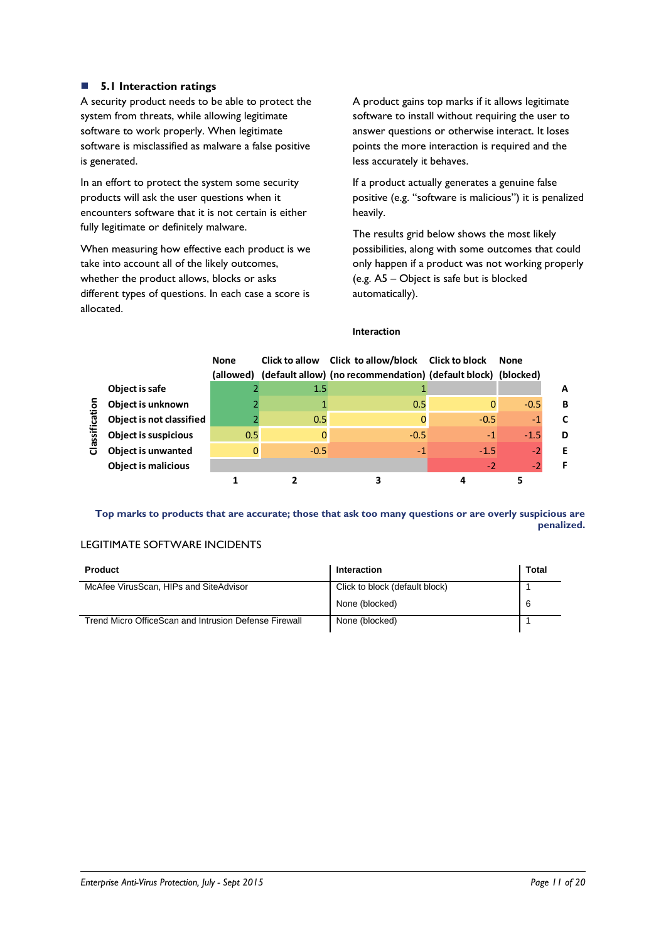# **5.1 Interaction ratings**

A security product needs to be able to protect the system from threats, while allowing legitimate software to work properly. When legitimate software is misclassified as malware a false positive is generated.

In an effort to protect the system some security products will ask the user questions when it encounters software that it is not certain is either fully legitimate or definitely malware.

When measuring how effective each product is we take into account all of the likely outcomes, whether the product allows, blocks or asks different types of questions. In each case a score is allocated.

A product gains top marks if it allows legitimate software to install without requiring the user to answer questions or otherwise interact. It loses points the more interaction is required and the less accurately it behaves.

If a product actually generates a genuine false positive (e.g. "software is malicious") it is penalized heavily.

The results grid below shows the most likely possibilities, along with some outcomes that could only happen if a product was not working properly (e.g. A5 – Object is safe but is blocked automatically).

## **Interaction**

|                         |                             | <b>None</b><br>(allowed) |        | Click to allow Click to allow/block Click to block<br>(default allow) (no recommendation) (default block) (blocked) |        | <b>None</b> |   |
|-------------------------|-----------------------------|--------------------------|--------|---------------------------------------------------------------------------------------------------------------------|--------|-------------|---|
|                         | Object is safe              |                          | 1.5    |                                                                                                                     |        |             | A |
| ō                       | Object is unknown           |                          |        | 0.5                                                                                                                 |        | $-0.5$      | B |
|                         | Object is not classified    |                          | 0.5    | 0                                                                                                                   | $-0.5$ | $-1$        | C |
| assifical               | <b>Object is suspicious</b> | 0.5                      |        | $-0.5$                                                                                                              | $-1$   | $-1.5$      | D |
| $\overline{\mathbf{o}}$ | <b>Object is unwanted</b>   |                          | $-0.5$ | $-1$                                                                                                                | $-1.5$ | - 2         | Е |
|                         | <b>Object is malicious</b>  |                          |        |                                                                                                                     | $-2$   | -2          |   |
|                         |                             |                          |        |                                                                                                                     |        |             |   |

**Top marks to products that are accurate; those that ask too many questions or are overly suspicious are penalized.**

# LEGITIMATE SOFTWARE INCIDENTS

| <b>Product</b>                                        | Interaction                    | Total |
|-------------------------------------------------------|--------------------------------|-------|
| McAfee VirusScan, HIPs and SiteAdvisor                | Click to block (default block) |       |
|                                                       | None (blocked)                 | 6     |
| Trend Micro OfficeScan and Intrusion Defense Firewall | None (blocked)                 |       |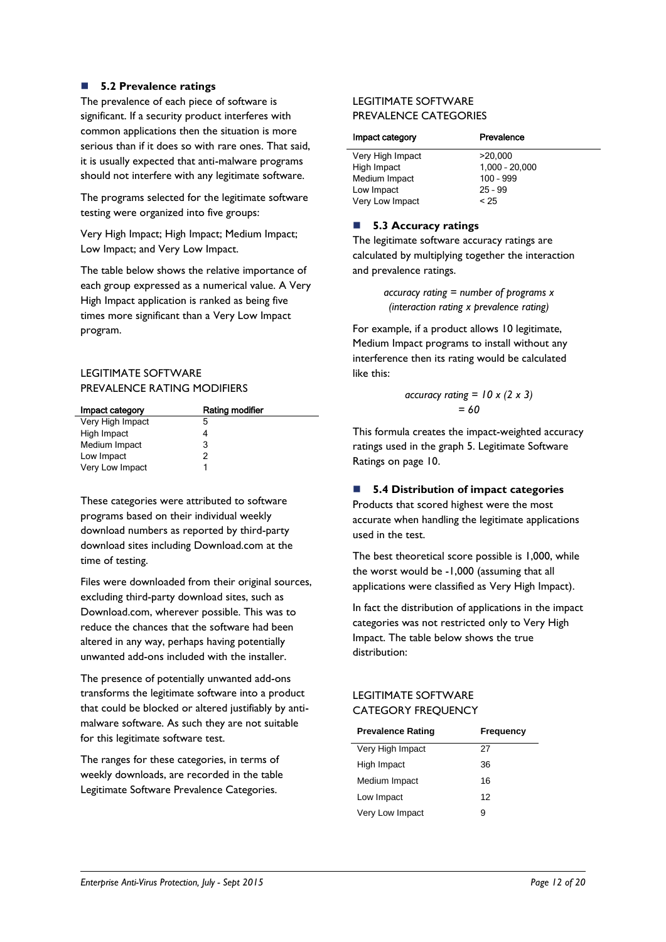# **5.2 Prevalence ratings**

The prevalence of each piece of software is significant. If a security product interferes with common applications then the situation is more serious than if it does so with rare ones. That said, it is usually expected that anti-malware programs should not interfere with any legitimate software.

The programs selected for the legitimate software testing were organized into five groups:

Very High Impact; High Impact; Medium Impact; Low Impact; and Very Low Impact.

The table below shows the relative importance of each group expressed as a numerical value. A Very High Impact application is ranked as being five times more significant than a Very Low Impact program.

# LEGITIMATE SOFTWARE PREVALENCE RATING MODIFIERS

| Impact category  | Rating modifier |
|------------------|-----------------|
| Very High Impact | 5               |
| High Impact      |                 |
| Medium Impact    | 3               |
| Low Impact       | 2               |
| Very Low Impact  |                 |

These categories were attributed to software programs based on their individual weekly download numbers as reported by third-party download sites including Download.com at the time of testing.

Files were downloaded from their original sources, excluding third-party download sites, such as Download.com, wherever possible. This was to reduce the chances that the software had been altered in any way, perhaps having potentially unwanted add-ons included with the installer.

The presence of potentially unwanted add-ons transforms the legitimate software into a product that could be blocked or altered justifiably by antimalware software. As such they are not suitable for this legitimate software test.

The ranges for these categories, in terms of weekly downloads, are recorded in the table Legitimate Software Prevalence Categories.

# LEGITIMATE SOFTWARE PREVALENCE CATEGORIES

| Prevalence       |
|------------------|
| >20.000          |
| $1,000 - 20,000$ |
| $100 - 999$      |
| $25 - 99$        |
| < 25             |
|                  |

# ■ 5.3 Accuracy ratings

The legitimate software accuracy ratings are calculated by multiplying together the interaction and prevalence ratings.

> *accuracy rating = number of programs x (interaction rating x prevalence rating)*

For example, if a product allows 10 legitimate, Medium Impact programs to install without any interference then its rating would be calculated like this:

$$
\begin{aligned} \text{accuracy rating} &= 10 \times (2 \times 3) \\ &= 60 \end{aligned}
$$

This formula creates the impact-weighted accuracy ratings used in the graph 5. Legitimate Software Ratings on page 10.

# **5.4 Distribution of impact categories**

Products that scored highest were the most accurate when handling the legitimate applications used in the test.

The best theoretical score possible is 1,000, while the worst would be -1,000 (assuming that all applications were classified as Very High Impact).

In fact the distribution of applications in the impact categories was not restricted only to Very High Impact. The table below shows the true distribution:

# LEGITIMATE SOFTWARE CATEGORY FREQUENCY

| <b>Prevalence Rating</b> | Frequency |
|--------------------------|-----------|
| Very High Impact         | 27        |
| High Impact              | 36        |
| Medium Impact            | 16        |
| Low Impact               | 12        |
| Very Low Impact          | g         |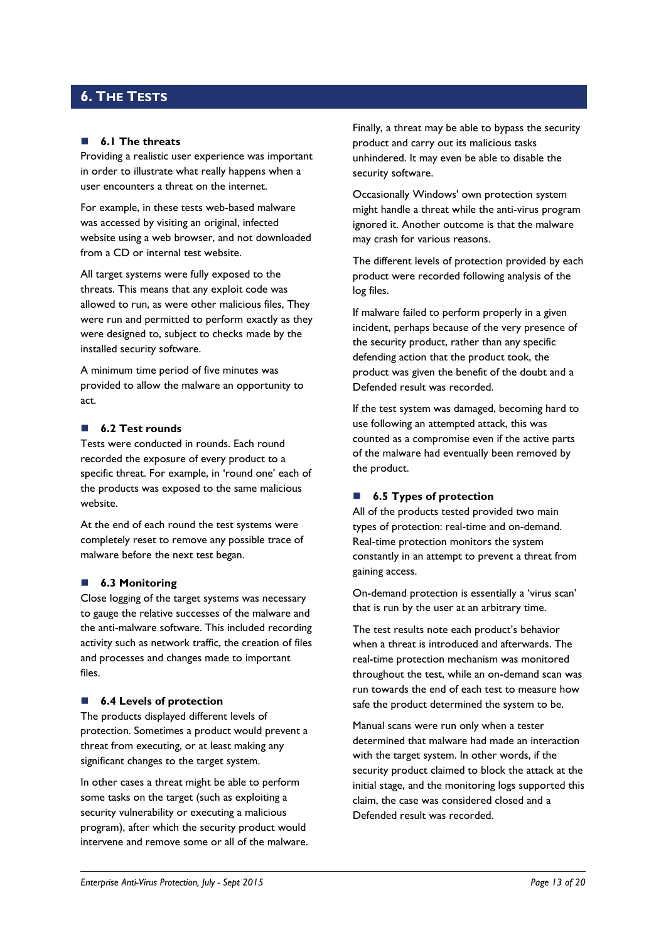# <span id="page-12-0"></span>**6. THE TESTS**

#### **6.1 The threats**

Providing a realistic user experience was important in order to illustrate what really happens when a user encounters a threat on the internet.

For example, in these tests web-based malware was accessed by visiting an original, infected website using a web browser, and not downloaded from a CD or internal test website.

All target systems were fully exposed to the threats. This means that any exploit code was allowed to run, as were other malicious files, They were run and permitted to perform exactly as they were designed to, subject to checks made by the installed security software.

A minimum time period of five minutes was provided to allow the malware an opportunity to act.

## **6.2 Test rounds**

Tests were conducted in rounds. Each round recorded the exposure of every product to a specific threat. For example, in 'round one' each of the products was exposed to the same malicious website.

At the end of each round the test systems were completely reset to remove any possible trace of malware before the next test began.

#### **6.3 Monitoring**

Close logging of the target systems was necessary to gauge the relative successes of the malware and the anti-malware software. This included recording activity such as network traffic, the creation of files and processes and changes made to important files.

#### ■ **6.4 Levels of protection**

The products displayed different levels of protection. Sometimes a product would prevent a threat from executing, or at least making any significant changes to the target system.

In other cases a threat might be able to perform some tasks on the target (such as exploiting a security vulnerability or executing a malicious program), after which the security product would intervene and remove some or all of the malware. Finally, a threat may be able to bypass the security product and carry out its malicious tasks unhindered. It may even be able to disable the security software.

Occasionally Windows' own protection system might handle a threat while the anti-virus program ignored it. Another outcome is that the malware may crash for various reasons.

The different levels of protection provided by each product were recorded following analysis of the log files.

If malware failed to perform properly in a given incident, perhaps because of the very presence of the security product, rather than any specific defending action that the product took, the product was given the benefit of the doubt and a Defended result was recorded.

If the test system was damaged, becoming hard to use following an attempted attack, this was counted as a compromise even if the active parts of the malware had eventually been removed by the product.

# ■ **6.5 Types of protection**

All of the products tested provided two main types of protection: real-time and on-demand. Real-time protection monitors the system constantly in an attempt to prevent a threat from gaining access.

On-demand protection is essentially a 'virus scan' that is run by the user at an arbitrary time.

The test results note each product's behavior when a threat is introduced and afterwards. The real-time protection mechanism was monitored throughout the test, while an on-demand scan was run towards the end of each test to measure how safe the product determined the system to be.

Manual scans were run only when a tester determined that malware had made an interaction with the target system. In other words, if the security product claimed to block the attack at the initial stage, and the monitoring logs supported this claim, the case was considered closed and a Defended result was recorded.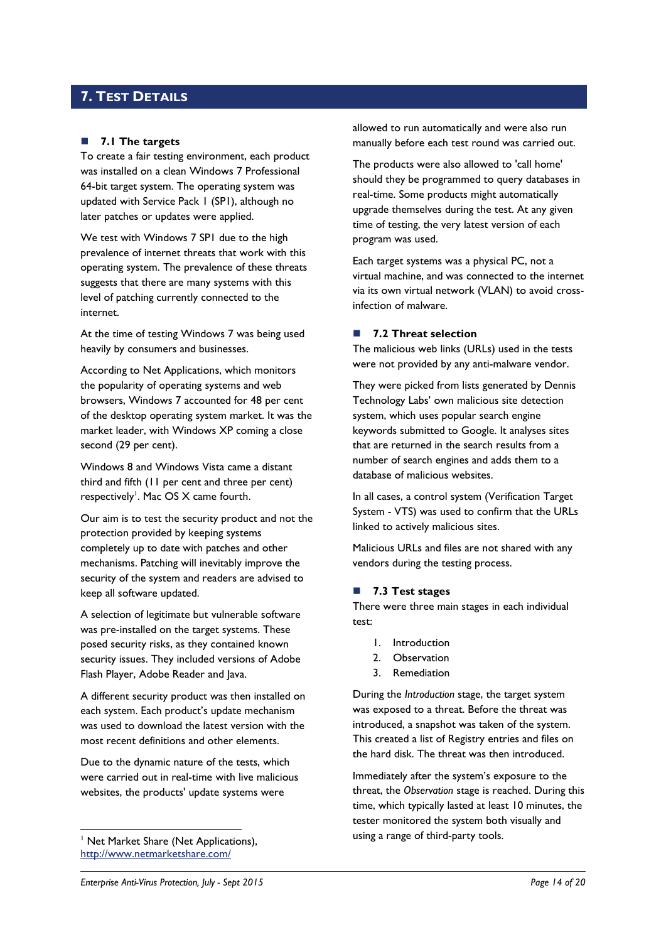# <span id="page-13-0"></span>**7. TEST DETAILS**

# **7.1 The targets**

To create a fair testing environment, each product was installed on a clean Windows 7 Professional 64-bit target system. The operating system was updated with Service Pack 1 (SP1), although no later patches or updates were applied.

We test with Windows 7 SP1 due to the high prevalence of internet threats that work with this operating system. The prevalence of these threats suggests that there are many systems with this level of patching currently connected to the internet.

At the time of testing Windows 7 was being used heavily by consumers and businesses.

According to Net Applications, which monitors the popularity of operating systems and web browsers, Windows 7 accounted for 48 per cent of the desktop operating system market. It was the market leader, with Windows XP coming a close second (29 per cent).

Windows 8 and Windows Vista came a distant third and fifth (11 per cent and three per cent) respectively<sup>1</sup>. Mac OS X came fourth.

Our aim is to test the security product and not the protection provided by keeping systems completely up to date with patches and other mechanisms. Patching will inevitably improve the security of the system and readers are advised to keep all software updated.

A selection of legitimate but vulnerable software was pre-installed on the target systems. These posed security risks, as they contained known security issues. They included versions of Adobe Flash Player, Adobe Reader and Java.

A different security product was then installed on each system. Each product's update mechanism was used to download the latest version with the most recent definitions and other elements.

Due to the dynamic nature of the tests, which were carried out in real-time with live malicious websites, the products' update systems were

<sup>1</sup> Net Market Share (Net Applications), <http://www.netmarketshare.com/>

-

allowed to run automatically and were also run manually before each test round was carried out.

The products were also allowed to 'call home' should they be programmed to query databases in real-time. Some products might automatically upgrade themselves during the test. At any given time of testing, the very latest version of each program was used.

Each target systems was a physical PC, not a virtual machine, and was connected to the internet via its own virtual network (VLAN) to avoid crossinfection of malware.

## **7.2 Threat selection**

The malicious web links (URLs) used in the tests were not provided by any anti-malware vendor.

They were picked from lists generated by Dennis Technology Labs' own malicious site detection system, which uses popular search engine keywords submitted to Google. It analyses sites that are returned in the search results from a number of search engines and adds them to a database of malicious websites.

In all cases, a control system (Verification Target System - VTS) was used to confirm that the URLs linked to actively malicious sites.

Malicious URLs and files are not shared with any vendors during the testing process.

## <span id="page-13-1"></span>**7.3 Test stages**

There were three main stages in each individual test:

- 1. Introduction
- 2. Observation
- 3. Remediation

During the *Introduction* stage, the target system was exposed to a threat. Before the threat was introduced, a snapshot was taken of the system. This created a list of Registry entries and files on the hard disk. The threat was then introduced.

Immediately after the system's exposure to the threat, the *Observation* stage is reached. During this time, which typically lasted at least 10 minutes, the tester monitored the system both visually and using a range of third-party tools.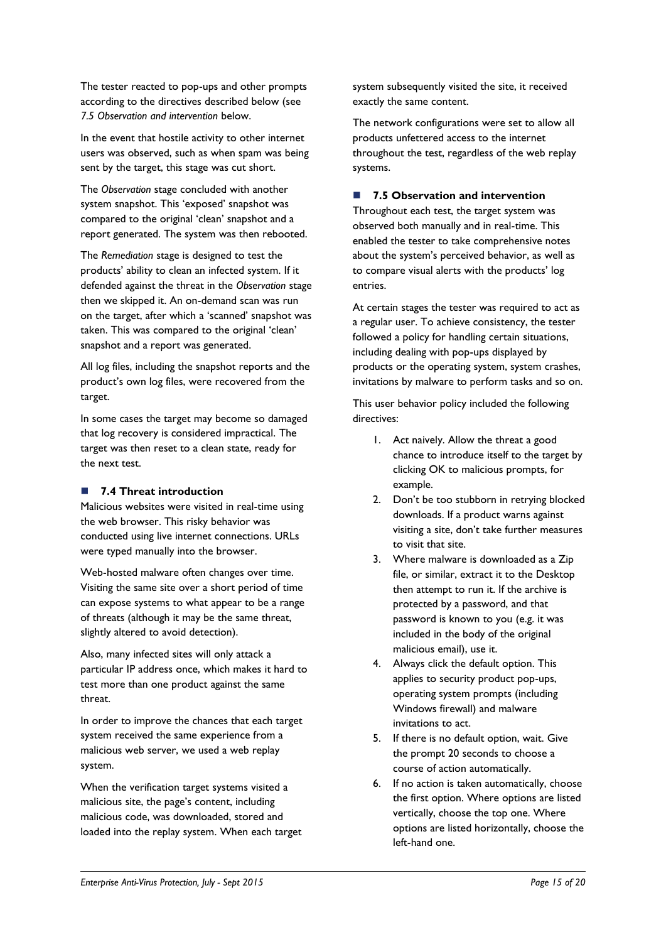The tester reacted to pop-ups and other prompts according to the directives described below (see *7.5 Observation and intervention* below.

In the event that hostile activity to other internet users was observed, such as when spam was being sent by the target, this stage was cut short.

The *Observation* stage concluded with another system snapshot. This 'exposed' snapshot was compared to the original 'clean' snapshot and a report generated. The system was then rebooted.

The *Remediation* stage is designed to test the products' ability to clean an infected system. If it defended against the threat in the *Observation* stage then we skipped it. An on-demand scan was run on the target, after which a 'scanned' snapshot was taken. This was compared to the original 'clean' snapshot and a report was generated.

All log files, including the snapshot reports and the product's own log files, were recovered from the target.

In some cases the target may become so damaged that log recovery is considered impractical. The target was then reset to a clean state, ready for the next test.

# **7.4 Threat introduction**

Malicious websites were visited in real-time using the web browser. This risky behavior was conducted using live internet connections. URLs were typed manually into the browser.

Web-hosted malware often changes over time. Visiting the same site over a short period of time can expose systems to what appear to be a range of threats (although it may be the same threat, slightly altered to avoid detection).

Also, many infected sites will only attack a particular IP address once, which makes it hard to test more than one product against the same threat.

In order to improve the chances that each target system received the same experience from a malicious web server, we used a web replay system.

When the verification target systems visited a malicious site, the page's content, including malicious code, was downloaded, stored and loaded into the replay system. When each target system subsequently visited the site, it received exactly the same content.

The network configurations were set to allow all products unfettered access to the internet throughout the test, regardless of the web replay systems.

# **7.5 Observation and intervention**

Throughout each test, the target system was observed both manually and in real-time. This enabled the tester to take comprehensive notes about the system's perceived behavior, as well as to compare visual alerts with the products' log entries.

At certain stages the tester was required to act as a regular user. To achieve consistency, the tester followed a policy for handling certain situations, including dealing with pop-ups displayed by products or the operating system, system crashes, invitations by malware to perform tasks and so on.

This user behavior policy included the following directives:

- 1. Act naively. Allow the threat a good chance to introduce itself to the target by clicking OK to malicious prompts, for example.
- 2. Don't be too stubborn in retrying blocked downloads. If a product warns against visiting a site, don't take further measures to visit that site.
- 3. Where malware is downloaded as a Zip file, or similar, extract it to the Desktop then attempt to run it. If the archive is protected by a password, and that password is known to you (e.g. it was included in the body of the original malicious email), use it.
- 4. Always click the default option. This applies to security product pop-ups, operating system prompts (including Windows firewall) and malware invitations to act.
- 5. If there is no default option, wait. Give the prompt 20 seconds to choose a course of action automatically.
- 6. If no action is taken automatically, choose the first option. Where options are listed vertically, choose the top one. Where options are listed horizontally, choose the left-hand one.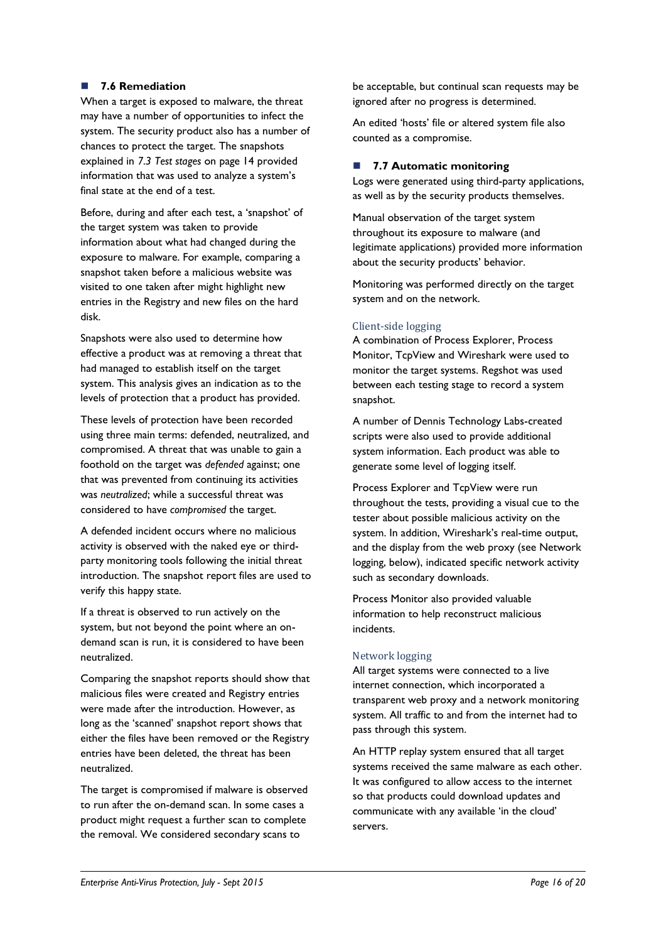# **7.6 Remediation**

When a target is exposed to malware, the threat may have a number of opportunities to infect the system. The security product also has a number of chances to protect the target. The snapshots explained in *7.3 Test stages* [on page 14](#page-13-1) provided information that was used to analyze a system's final state at the end of a test.

Before, during and after each test, a 'snapshot' of the target system was taken to provide information about what had changed during the exposure to malware. For example, comparing a snapshot taken before a malicious website was visited to one taken after might highlight new entries in the Registry and new files on the hard disk.

Snapshots were also used to determine how effective a product was at removing a threat that had managed to establish itself on the target system. This analysis gives an indication as to the levels of protection that a product has provided.

These levels of protection have been recorded using three main terms: defended, neutralized, and compromised. A threat that was unable to gain a foothold on the target was *defended* against; one that was prevented from continuing its activities was *neutralized*; while a successful threat was considered to have *compromised* the target.

A defended incident occurs where no malicious activity is observed with the naked eye or thirdparty monitoring tools following the initial threat introduction. The snapshot report files are used to verify this happy state.

If a threat is observed to run actively on the system, but not beyond the point where an ondemand scan is run, it is considered to have been neutralized.

Comparing the snapshot reports should show that malicious files were created and Registry entries were made after the introduction. However, as long as the 'scanned' snapshot report shows that either the files have been removed or the Registry entries have been deleted, the threat has been neutralized.

The target is compromised if malware is observed to run after the on-demand scan. In some cases a product might request a further scan to complete the removal. We considered secondary scans to

be acceptable, but continual scan requests may be ignored after no progress is determined.

An edited 'hosts' file or altered system file also counted as a compromise.

# **7.7 Automatic monitoring**

Logs were generated using third-party applications, as well as by the security products themselves.

Manual observation of the target system throughout its exposure to malware (and legitimate applications) provided more information about the security products' behavior.

Monitoring was performed directly on the target system and on the network.

# Client-side logging

A combination of Process Explorer, Process Monitor, TcpView and Wireshark were used to monitor the target systems. Regshot was used between each testing stage to record a system snapshot.

A number of Dennis Technology Labs-created scripts were also used to provide additional system information. Each product was able to generate some level of logging itself.

Process Explorer and TcpView were run throughout the tests, providing a visual cue to the tester about possible malicious activity on the system. In addition, Wireshark's real-time output, and the display from the web proxy (see Network logging, below), indicated specific network activity such as secondary downloads.

Process Monitor also provided valuable information to help reconstruct malicious incidents.

# Network logging

All target systems were connected to a live internet connection, which incorporated a transparent web proxy and a network monitoring system. All traffic to and from the internet had to pass through this system.

An HTTP replay system ensured that all target systems received the same malware as each other. It was configured to allow access to the internet so that products could download updates and communicate with any available 'in the cloud' servers.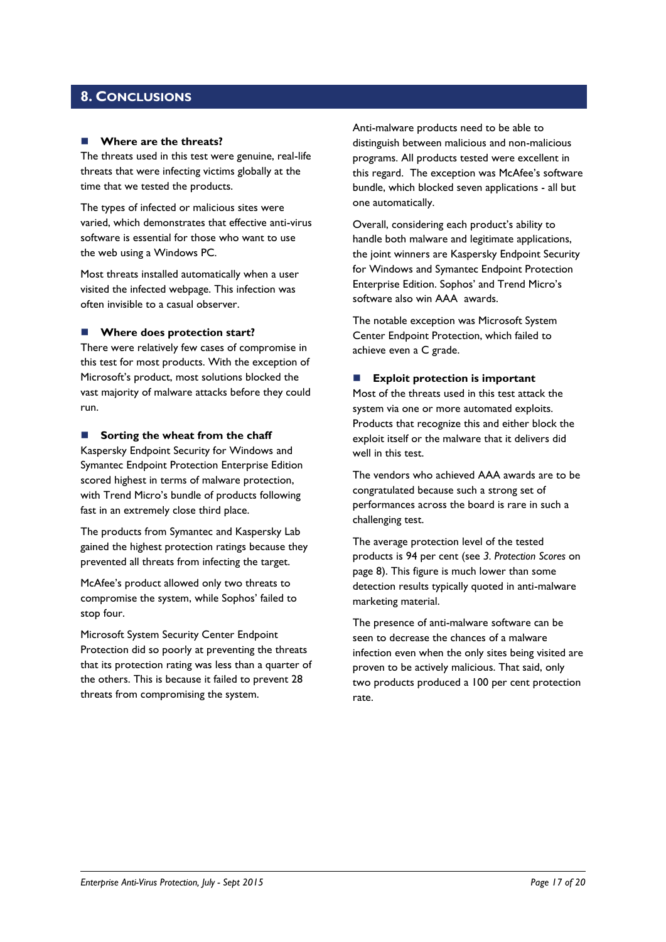# <span id="page-16-0"></span>**8. CONCLUSIONS**

#### **Where are the threats?**

The threats used in this test were genuine, real-life threats that were infecting victims globally at the time that we tested the products.

The types of infected or malicious sites were varied, which demonstrates that effective anti-virus software is essential for those who want to use the web using a Windows PC.

Most threats installed automatically when a user visited the infected webpage. This infection was often invisible to a casual observer.

## **Where does protection start?**

There were relatively few cases of compromise in this test for most products. With the exception of Microsoft's product, most solutions blocked the vast majority of malware attacks before they could run.

#### **Sorting the wheat from the chaff**

Kaspersky Endpoint Security for Windows and Symantec Endpoint Protection Enterprise Edition scored highest in terms of malware protection, with Trend Micro's bundle of products following fast in an extremely close third place.

The products from Symantec and Kaspersky Lab gained the highest protection ratings because they prevented all threats from infecting the target.

McAfee's product allowed only two threats to compromise the system, while Sophos' failed to stop four.

Microsoft System Security Center Endpoint Protection did so poorly at preventing the threats that its protection rating was less than a quarter of the others. This is because it failed to prevent 28 threats from compromising the system.

Anti-malware products need to be able to distinguish between malicious and non-malicious programs. All products tested were excellent in this regard. The exception was McAfee's software bundle, which blocked seven applications - all but one automatically.

Overall, considering each product's ability to handle both malware and legitimate applications, the joint winners are Kaspersky Endpoint Security for Windows and Symantec Endpoint Protection Enterprise Edition. Sophos' and Trend Micro's software also win AAA awards.

The notable exception was Microsoft System Center Endpoint Protection, which failed to achieve even a C grade.

#### **Exploit protection is important**

Most of the threats used in this test attack the system via one or more automated exploits. Products that recognize this and either block the exploit itself or the malware that it delivers did well in this test.

The vendors who achieved AAA awards are to be congratulated because such a strong set of performances across the board is rare in such a challenging test.

The average protection level of the tested products is 94 per cent (see *3. Protection Scores* on page 8). This figure is much lower than some detection results typically quoted in anti-malware marketing material.

The presence of anti-malware software can be seen to decrease the chances of a malware infection even when the only sites being visited are proven to be actively malicious. That said, only two products produced a 100 per cent protection rate.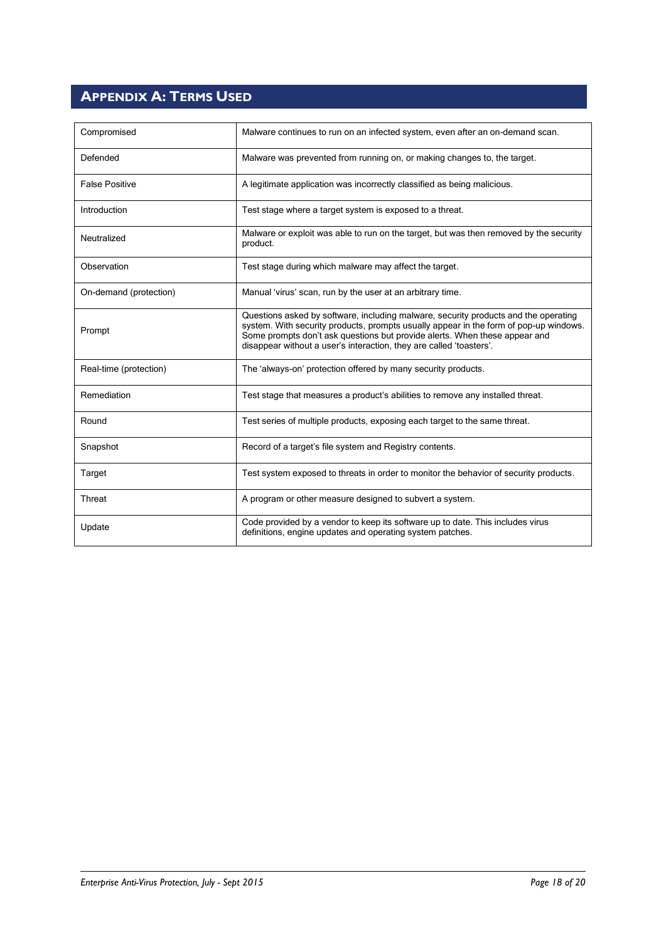# <span id="page-17-0"></span>**APPENDIX A: TERMS USED**

| Compromised            | Malware continues to run on an infected system, even after an on-demand scan.                                                                                                                                                                                                                                                     |  |
|------------------------|-----------------------------------------------------------------------------------------------------------------------------------------------------------------------------------------------------------------------------------------------------------------------------------------------------------------------------------|--|
| Defended               | Malware was prevented from running on, or making changes to, the target.                                                                                                                                                                                                                                                          |  |
| <b>False Positive</b>  | A legitimate application was incorrectly classified as being malicious.                                                                                                                                                                                                                                                           |  |
| Introduction           | Test stage where a target system is exposed to a threat.                                                                                                                                                                                                                                                                          |  |
| Neutralized            | Malware or exploit was able to run on the target, but was then removed by the security<br>product.                                                                                                                                                                                                                                |  |
| Observation            | Test stage during which malware may affect the target.                                                                                                                                                                                                                                                                            |  |
| On-demand (protection) | Manual 'virus' scan, run by the user at an arbitrary time.                                                                                                                                                                                                                                                                        |  |
| Prompt                 | Questions asked by software, including malware, security products and the operating<br>system. With security products, prompts usually appear in the form of pop-up windows.<br>Some prompts don't ask questions but provide alerts. When these appear and<br>disappear without a user's interaction, they are called 'toasters'. |  |
| Real-time (protection) | The 'always-on' protection offered by many security products.                                                                                                                                                                                                                                                                     |  |
| Remediation            | Test stage that measures a product's abilities to remove any installed threat.                                                                                                                                                                                                                                                    |  |
| Round                  | Test series of multiple products, exposing each target to the same threat.                                                                                                                                                                                                                                                        |  |
| Snapshot               | Record of a target's file system and Registry contents.                                                                                                                                                                                                                                                                           |  |
| Target                 | Test system exposed to threats in order to monitor the behavior of security products.                                                                                                                                                                                                                                             |  |
| Threat                 | A program or other measure designed to subvert a system.                                                                                                                                                                                                                                                                          |  |
| Update                 | Code provided by a vendor to keep its software up to date. This includes virus<br>definitions, engine updates and operating system patches.                                                                                                                                                                                       |  |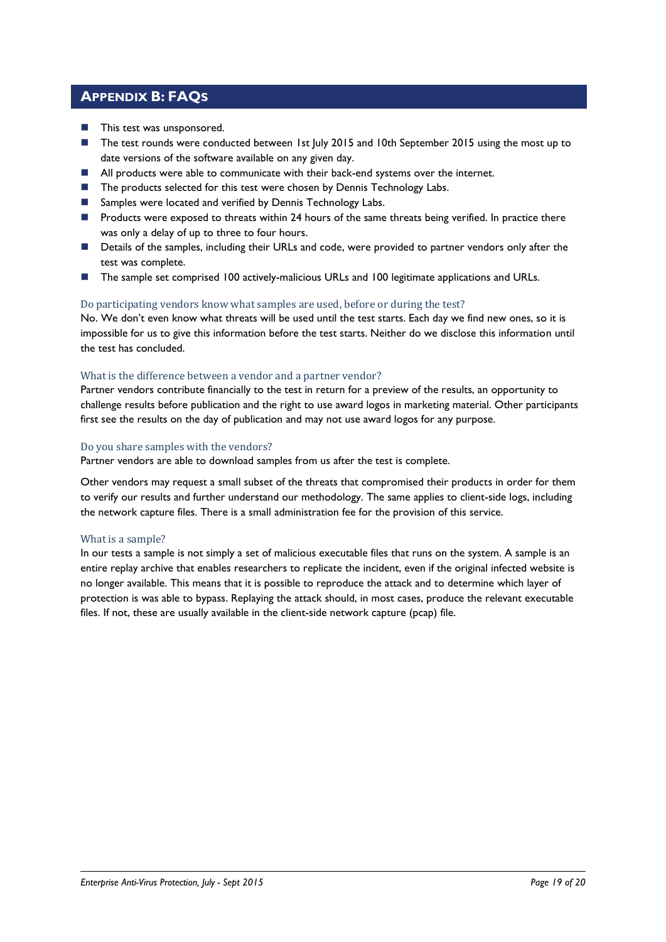# <span id="page-18-0"></span>**APPENDIX B: FAQS**

- **This test was unsponsored.**
- The test rounds were conducted between 1st July 2015 and 10th September 2015 using the most up to date versions of the software available on any given day.
- **All products were able to communicate with their back-end systems over the internet.**
- The products selected for this test were chosen by Dennis Technology Labs.
- Samples were located and verified by Dennis Technology Labs.
- **Products were exposed to threats within 24 hours of the same threats being verified. In practice there** was only a delay of up to three to four hours.
- Details of the samples, including their URLs and code, were provided to partner vendors only after the test was complete.
- The sample set comprised 100 actively-malicious URLs and 100 legitimate applications and URLs.

# Do participating vendors know what samples are used, before or during the test?

No. We don't even know what threats will be used until the test starts. Each day we find new ones, so it is impossible for us to give this information before the test starts. Neither do we disclose this information until the test has concluded.

# What is the difference between a vendor and a partner vendor?

Partner vendors contribute financially to the test in return for a preview of the results, an opportunity to challenge results before publication and the right to use award logos in marketing material. Other participants first see the results on the day of publication and may not use award logos for any purpose.

## Do you share samples with the vendors?

Partner vendors are able to download samples from us after the test is complete.

Other vendors may request a small subset of the threats that compromised their products in order for them to verify our results and further understand our methodology. The same applies to client-side logs, including the network capture files. There is a small administration fee for the provision of this service.

## What is a sample?

In our tests a sample is not simply a set of malicious executable files that runs on the system. A sample is an entire replay archive that enables researchers to replicate the incident, even if the original infected website is no longer available. This means that it is possible to reproduce the attack and to determine which layer of protection is was able to bypass. Replaying the attack should, in most cases, produce the relevant executable files. If not, these are usually available in the client-side network capture (pcap) file.